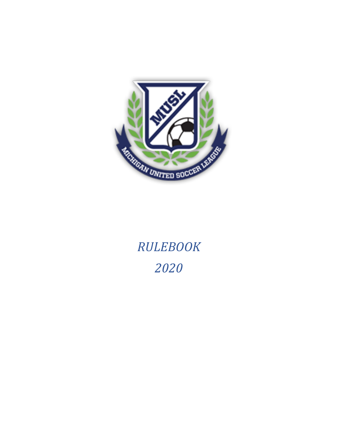

# *RULEBOOK 2020*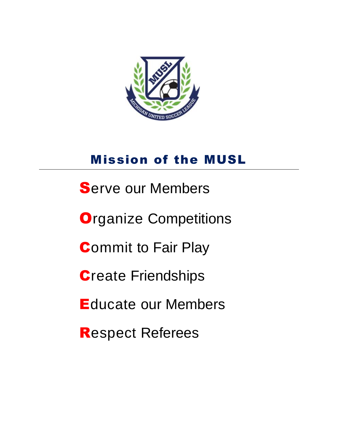

## Mission of the MUSL

- **Serve our Members**
- **Organize Competitions**
- **Commit to Fair Play**
- **Create Friendships**
- Educate our Members
- Respect Referees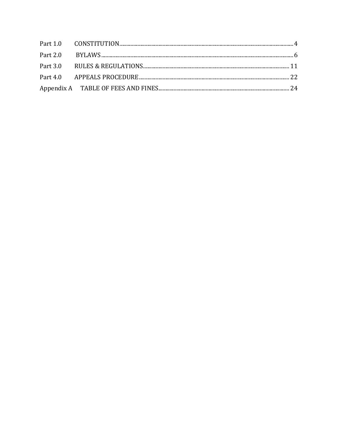<span id="page-2-0"></span>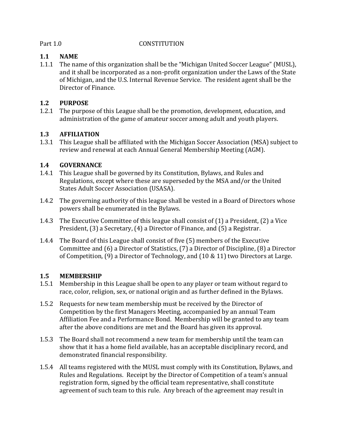#### Part 1.0 CONSTITUTION

#### **1.1 NAME**

1.1.1 The name of this organization shall be the "Michigan United Soccer League" (MUSL), and it shall be incorporated as a non-profit organization under the Laws of the State of Michigan, and the U.S. Internal Revenue Service. The resident agent shall be the Director of Finance.

#### **1.2 PURPOSE**

1.2.1 The purpose of this League shall be the promotion, development, education, and administration of the game of amateur soccer among adult and youth players.

#### **1.3 AFFILIATION**

1.3.1 This League shall be affiliated with the Michigan Soccer Association (MSA) subject to review and renewal at each Annual General Membership Meeting (AGM).

#### **1.4 GOVERNANCE**

- 1.4.1 This League shall be governed by its Constitution, Bylaws, and Rules and Regulations, except where these are superseded by the MSA and/or the United States Adult Soccer Association (USASA).
- 1.4.2 The governing authority of this league shall be vested in a Board of Directors whose powers shall be enumerated in the Bylaws.
- 1.4.3 The Executive Committee of this league shall consist of (1) a President, (2) a Vice President, (3) a Secretary, (4) a Director of Finance, and (5) a Registrar.
- 1.4.4 The Board of this League shall consist of five (5) members of the Executive Committee and (6) a Director of Statistics, (7) a Director of Discipline, (8) a Director of Competition, (9) a Director of Technology, and (10 & 11) two Directors at Large.

#### **1.5 MEMBERSHIP**

- 1.5.1 Membership in this League shall be open to any player or team without regard to race, color, religion, sex, or national origin and as further defined in the Bylaws.
- 1.5.2 Requests for new team membership must be received by the Director of Competition by the first Managers Meeting, accompanied by an annual Team Affiliation Fee and a Performance Bond. Membership will be granted to any team after the above conditions are met and the Board has given its approval.
- 1.5.3 The Board shall not recommend a new team for membership until the team can show that it has a home field available, has an acceptable disciplinary record, and demonstrated financial responsibility.
- 1.5.4 All teams registered with the MUSL must comply with its Constitution, Bylaws, and Rules and Regulations. Receipt by the Director of Competition of a team's annual registration form, signed by the official team representative, shall constitute agreement of such team to this rule. Any breach of the agreement may result in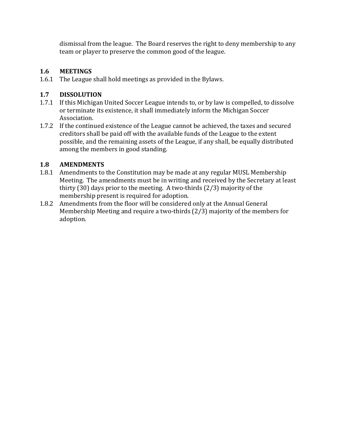dismissal from the league. The Board reserves the right to deny membership to any team or player to preserve the common good of the league.

#### **1.6 MEETINGS**

1.6.1 The League shall hold meetings as provided in the Bylaws.

#### **1.7 DISSOLUTION**

- 1.7.1 If this Michigan United Soccer League intends to, or by law is compelled, to dissolve or terminate its existence, it shall immediately inform the Michigan Soccer Association.
- 1.7.2 If the continued existence of the League cannot be achieved, the taxes and secured creditors shall be paid off with the available funds of the League to the extent possible, and the remaining assets of the League, if any shall, be equally distributed among the members in good standing.

#### **1.8 AMENDMENTS**

- 1.8.1 Amendments to the Constitution may be made at any regular MUSL Membership Meeting. The amendments must be in writing and received by the Secretary at least thirty (30) days prior to the meeting. A two-thirds (2/3) majority of the membership present is required for adoption.
- 1.8.2 Amendments from the floor will be considered only at the Annual General Membership Meeting and require a two-thirds (2/3) majority of the members for adoption.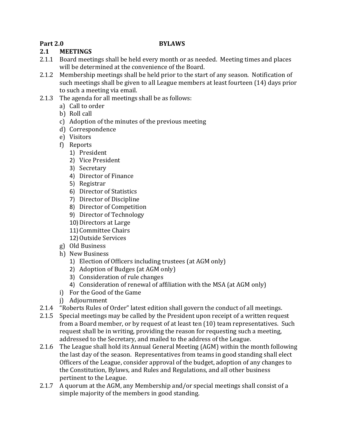#### <span id="page-5-0"></span>**Part 2.0 BYLAWS**

#### **2.1 MEETINGS**

- 2.1.1 Board meetings shall be held every month or as needed. Meeting times and places will be determined at the convenience of the Board.
- 2.1.2 Membership meetings shall be held prior to the start of any season. Notification of such meetings shall be given to all League members at least fourteen (14) days prior to such a meeting via email.
- 2.1.3 The agenda for all meetings shall be as follows:
	- a) Call to order
	- b) Roll call
	- c) Adoption of the minutes of the previous meeting
	- d) Correspondence
	- e) Visitors
	- f) Reports
		- 1) President
		- 2) Vice President
		- 3) Secretary
		- 4) Director of Finance
		- 5) Registrar
		- 6) Director of Statistics
		- 7) Director of Discipline
		- 8) Director of Competition
		- 9) Director of Technology
		- 10) Directors at Large
		- 11) Committee Chairs
		- 12) Outside Services
	- g) Old Business
	- h) New Business
		- 1) Election of Officers including trustees (at AGM only)
		- 2) Adoption of Budges (at AGM only)
		- 3) Consideration of rule changes
		- 4) Consideration of renewal of affiliation with the MSA (at AGM only)
	- i) For the Good of the Game
	- j) Adjournment
- 2.1.4 "Roberts Rules of Order" latest edition shall govern the conduct of all meetings.
- 2.1.5 Special meetings may be called by the President upon receipt of a written request from a Board member, or by request of at least ten (10) team representatives. Such request shall be in writing, providing the reason for requesting such a meeting, addressed to the Secretary, and mailed to the address of the League.
- 2.1.6 The League shall hold its Annual General Meeting (AGM) within the month following the last day of the season. Representatives from teams in good standing shall elect Officers of the League, consider approval of the budget, adoption of any changes to the Constitution, Bylaws, and Rules and Regulations, and all other business pertinent to the League.
- 2.1.7 A quorum at the AGM, any Membership and/or special meetings shall consist of a simple majority of the members in good standing.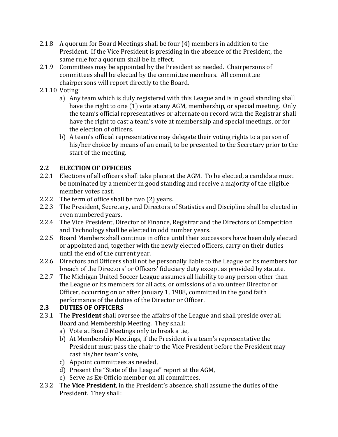- 2.1.8 A quorum for Board Meetings shall be four (4) members in addition to the President. If the Vice President is presiding in the absence of the President, the same rule for a quorum shall be in effect.
- 2.1.9 Committees may be appointed by the President as needed. Chairpersons of committees shall be elected by the committee members. All committee chairpersons will report directly to the Board.
- 2.1.10 Voting:
	- a) Any team which is duly registered with this League and is in good standing shall have the right to one (1) vote at any AGM, membership, or special meeting. Only the team's official representatives or alternate on record with the Registrar shall have the right to cast a team's vote at membership and special meetings, or for the election of officers.
	- b) A team's official representative may delegate their voting rights to a person of his/her choice by means of an email, to be presented to the Secretary prior to the start of the meeting.

#### **2.2 ELECTION OF OFFICERS**

- 2.2.1 Elections of all officers shall take place at the AGM. To be elected, a candidate must be nominated by a member in good standing and receive a majority of the eligible member votes cast.
- 2.2.2 The term of office shall be two (2) years.
- 2.2.3 The President, Secretary, and Directors of Statistics and Discipline shall be elected in even numbered years.
- 2.2.4 The Vice President, Director of Finance, Registrar and the Directors of Competition and Technology shall be elected in odd number years.
- 2.2.5 Board Members shall continue in office until their successors have been duly elected or appointed and, together with the newly elected officers, carry on their duties until the end of the current year.
- 2.2.6 Directors and Officers shall not be personally liable to the League or its members for breach of the Directors' or Officers' fiduciary duty except as provided by statute.
- 2.2.7 The Michigan United Soccer League assumes all liability to any person other than the League or its members for all acts, or omissions of a volunteer Director or Officer, occurring on or after January 1, 1988, committed in the good faith performance of the duties of the Director or Officer.

#### **2.3 DUTIES OF OFFICERS**

- 2.3.1 The **President** shall oversee the affairs of the League and shall preside over all Board and Membership Meeting. They shall:
	- a) Vote at Board Meetings only to break a tie,
	- b) At Membership Meetings, if the President is a team's representative the President must pass the chair to the Vice President before the President may cast his/her team's vote,
	- c) Appoint committees as needed,
	- d) Present the "State of the League" report at the AGM,
	- e) Serve as Ex-Officio member on all committees.
- 2.3.2 The **Vice President**, in the President's absence, shall assume the duties of the President. They shall: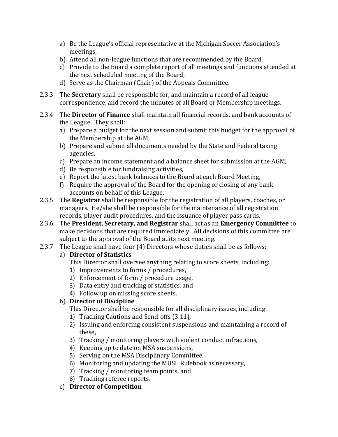- a) Be the League's official representative at the Michigan Soccer Association's meetings,
- b) Attend all non-league functions that are recommended by the Board,
- c) Provide to the Board a complete report of all meetings and functions attended at the next scheduled meeting of the Board,
- d) Serve as the Chairman (Chair) of the Appeals Committee.
- 2.3.3 The **Secretary** shall be responsible for, and maintain a record of all league correspondence, and record the minutes of all Board or Membership meetings.
- 2.3.4 The **Director of Finance** shall maintain all financial records, and bank accounts of the League. They shall:
	- a) Prepare a budget for the next session and submit this budget for the approval of the Membership at the AGM,
	- b) Prepare and submit all documents needed by the State and Federal taxing agencies,
	- c) Prepare an income statement and a balance sheet for submission at the AGM,
	- d) Be responsible for fundraising activities,
	- e) Report the latest bank balances to the Board at each Board Meeting,
	- f) Require the approval of the Board for the opening or closing of any bank accounts on behalf of this League.
- 2.3.5 The **Registrar** shall be responsible for the registration of all players, coaches, or managers. He/she shall be responsible for the maintenance of all registration records, player audit procedures, and the issuance of player pass cards.
- 2.3.6 The **President, Secretary, and Registrar** shall act as an **Emergency Committee** to make decisions that are required immediately. All decisions of this committee are subject to the approval of the Board at its next meeting.
- 2.3.7 The League shall have four (4) Directors whose duties shall be as follows:

#### a) **Director of Statistics**

- This Director shall oversee anything relating to score sheets, including:
- 1) Improvements to forms / procedures,
- 2) Enforcement of form / procedure usage,
- 3) Data entry and tracking of statistics, and
- 4) Follow up on missing score sheets.

#### b) **Director of Discipline**

This Director shall be responsible for all disciplinary issues, including:

- 1) Tracking Cautions and Send-offs (3.11),
- 2) Issuing and enforcing consistent suspensions and maintaining a record of these,
- 3) Tracking / monitoring players with violent conduct infractions,
- 4) Keeping up to date on MSA suspensions,
- 5) Serving on the MSA Disciplinary Committee,
- 6) Monitoring and updating the MUSL Rulebook as necessary,
- 7) Tracking / monitoring team points, and
- 8) Tracking referee reports.
- c) **Director of Competition**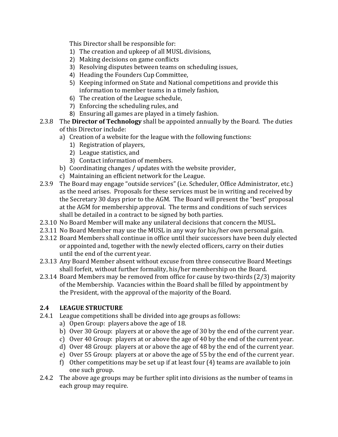This Director shall be responsible for:

- 1) The creation and upkeep of all MUSL divisions,
- 2) Making decisions on game conflicts
- 3) Resolving disputes between teams on scheduling issues,
- 4) Heading the Founders Cup Committee,
- 5) Keeping informed on State and National competitions and provide this information to member teams in a timely fashion,
- 6) The creation of the League schedule,
- 7) Enforcing the scheduling rules, and
- 8) Ensuring all games are played in a timely fashion.
- 2.3.8 The **Director of Technology** shall be appointed annually by the Board. The duties of this Director include:
	- a) Creation of a website for the league with the following functions:
		- 1) Registration of players,
		- 2) League statistics, and
		- 3) Contact information of members.
	- b) Coordinating changes / updates with the website provider,
	- c) Maintaining an efficient network for the League.
- 2.3.9 The Board may engage "outside services" (i.e. Scheduler, Office Administrator, etc.) as the need arises. Proposals for these services must be in writing and received by the Secretary 30 days prior to the AGM. The Board will present the "best" proposal at the AGM for membership approval. The terms and conditions of such services shall be detailed in a contract to be signed by both parties.
- 2.3.10 No Board Member will make any unilateral decisions that concern the MUSL.
- 2.3.11 No Board Member may use the MUSL in any way for his/her own personal gain.
- 2.3.12 Board Members shall continue in office until their successors have been duly elected or appointed and, together with the newly elected officers, carry on their duties until the end of the current year.
- 2.3.13 Any Board Member absent without excuse from three consecutive Board Meetings shall forfeit, without further formality, his/her membership on the Board.
- 2.3.14 Board Members may be removed from office for cause by two-thirds (2/3) majority of the Membership. Vacancies within the Board shall be filled by appointment by the President, with the approval of the majority of the Board.

#### **2.4 LEAGUE STRUCTURE**

- 2.4.1 League competitions shall be divided into age groups as follows:
	- a) Open Group: players above the age of 18.
	- b) Over 30 Group: players at or above the age of 30 by the end of the current year.
	- c) Over 40 Group: players at or above the age of 40 by the end of the current year.
	- d) Over 48 Group: players at or above the age of 48 by the end of the current year.
	- e) Over 55 Group: players at or above the age of 55 by the end of the current year.
	- f) Other competitions may be set up if at least four (4) teams are available to join one such group.
- 2.4.2 The above age groups may be further split into divisions as the number of teams in each group may require.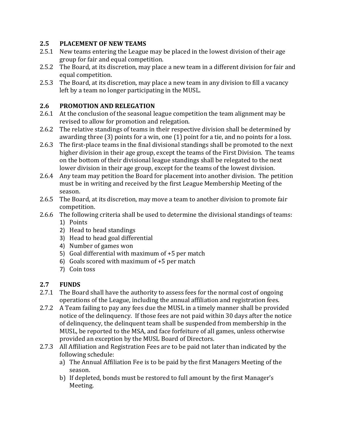#### **2.5 PLACEMENT OF NEW TEAMS**

- 2.5.1 New teams entering the League may be placed in the lowest division of their age group for fair and equal competition.
- 2.5.2 The Board, at its discretion, may place a new team in a different division for fair and equal competition.
- 2.5.3 The Board, at its discretion, may place a new team in any division to fill a vacancy left by a team no longer participating in the MUSL.

#### **2.6 PROMOTION AND RELEGATION**

- 2.6.1 At the conclusion of the seasonal league competition the team alignment may be revised to allow for promotion and relegation.
- 2.6.2 The relative standings of teams in their respective division shall be determined by awarding three (3) points for a win, one (1) point for a tie, and no points for a loss.
- 2.6.3 The first-place teams in the final divisional standings shall be promoted to the next higher division in their age group, except the teams of the First Division. The teams on the bottom of their divisional league standings shall be relegated to the next lower division in their age group, except for the teams of the lowest division.
- 2.6.4 Any team may petition the Board for placement into another division. The petition must be in writing and received by the first League Membership Meeting of the season.
- 2.6.5 The Board, at its discretion, may move a team to another division to promote fair competition.
- 2.6.6 The following criteria shall be used to determine the divisional standings of teams:
	- 1) Points
	- 2) Head to head standings
	- 3) Head to head goal differential
	- 4) Number of games won
	- 5) Goal differential with maximum of +5 per match
	- 6) Goals scored with maximum of +5 per match
	- 7) Coin toss

#### **2.7 FUNDS**

- 2.7.1 The Board shall have the authority to assess fees for the normal cost of ongoing operations of the League, including the annual affiliation and registration fees.
- 2.7.2 A Team failing to pay any fees due the MUSL in a timely manner shall be provided notice of the delinquency. If those fees are not paid within 30 days after the notice of delinquency, the delinquent team shall be suspended from membership in the MUSL, be reported to the MSA, and face forfeiture of all games, unless otherwise provided an exception by the MUSL Board of Directors.
- 2.7.3 All Affiliation and Registration Fees are to be paid not later than indicated by the following schedule:
	- a) The Annual Affiliation Fee is to be paid by the first Managers Meeting of the season.
	- b) If depleted, bonds must be restored to full amount by the first Manager's Meeting.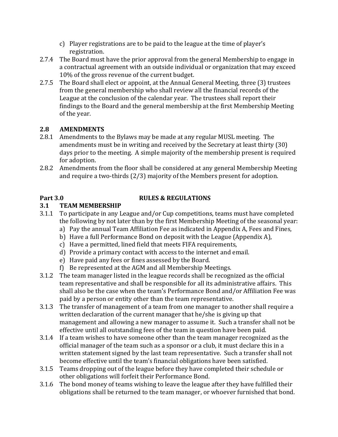- c) Player registrations are to be paid to the league at the time of player's registration.
- 2.7.4 The Board must have the prior approval from the general Membership to engage in a contractual agreement with an outside individual or organization that may exceed 10% of the gross revenue of the current budget.
- 2.7.5 The Board shall elect or appoint, at the Annual General Meeting, three (3) trustees from the general membership who shall review all the financial records of the League at the conclusion of the calendar year. The trustees shall report their findings to the Board and the general membership at the first Membership Meeting of the year.

#### **2.8 AMENDMENTS**

- 2.8.1 Amendments to the Bylaws may be made at any regular MUSL meeting. The amendments must be in writing and received by the Secretary at least thirty (30) days prior to the meeting. A simple majority of the membership present is required for adoption.
- 2.8.2 Amendments from the floor shall be considered at any general Membership Meeting and require a two-thirds (2/3) majority of the Members present for adoption.

#### <span id="page-10-0"></span>**Part 3.0 RULES & REGULATIONS**

### **3.1 TEAM MEMBERSHIP**

- 3.1.1 To participate in any League and/or Cup competitions, teams must have completed the following by not later than by the first Membership Meeting of the seasonal year:
	- a) Pay the annual Team Affiliation Fee as indicated in Appendix A, Fees and Fines,
	- b) Have a full Performance Bond on deposit with the League (Appendix A),
	- c) Have a permitted, lined field that meets FIFA requirements,
	- d) Provide a primary contact with access to the internet and email.
	- e) Have paid any fees or fines assessed by the Board.
	- f) Be represented at the AGM and all Membership Meetings.
- 3.1.2 The team manager listed in the league records shall be recognized as the official team representative and shall be responsible for all its administrative affairs. This shall also be the case when the team's Performance Bond and/or Affiliation Fee was paid by a person or entity other than the team representative.
- 3.1.3 The transfer of management of a team from one manager to another shall require a written declaration of the current manager that he/she is giving up that management and allowing a new manager to assume it. Such a transfer shall not be effective until all outstanding fees of the team in question have been paid.
- 3.1.4 If a team wishes to have someone other than the team manager recognized as the official manager of the team such as a sponsor or a club, it must declare this in a written statement signed by the last team representative. Such a transfer shall not become effective until the team's financial obligations have been satisfied.
- 3.1.5 Teams dropping out of the league before they have completed their schedule or other obligations will forfeit their Performance Bond.
- 3.1.6 The bond money of teams wishing to leave the league after they have fulfilled their obligations shall be returned to the team manager, or whoever furnished that bond.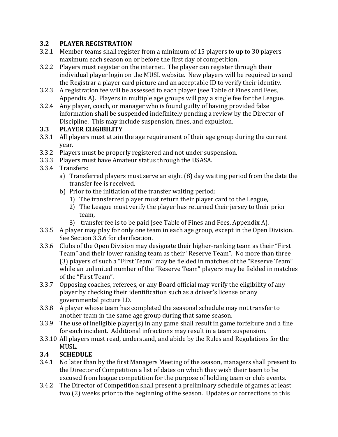#### **3.2 PLAYER REGISTRATION**

- 3.2.1 Member teams shall register from a minimum of 15 players to up to 30 players maximum each season on or before the first day of competition.
- 3.2.2 Players must register on the internet. The player can register through their individual player login on the MUSL website. New players will be required to send the Registrar a player card picture and an acceptable ID to verify their identity.
- 3.2.3 A registration fee will be assessed to each player (see Table of Fines and Fees, Appendix A). Players in multiple age groups will pay a single fee for the League.
- 3.2.4 Any player, coach, or manager who is found guilty of having provided false information shall be suspended indefinitely pending a review by the Director of Discipline. This may include suspension, fines, and expulsion.

#### **3.3 PLAYER ELIGIBILITY**

- 3.3.1 All players must attain the age requirement of their age group during the current year.
- 3.3.2 Players must be properly registered and not under suspension.
- 3.3.3 Players must have Amateur status through the USASA.
- 3.3.4 Transfers:
	- a) Transferred players must serve an eight (8) day waiting period from the date the transfer fee is received.
	- b) Prior to the initiation of the transfer waiting period:
		- 1) The transferred player must return their player card to the League,
		- 2) The League must verify the player has returned their jersey to their prior team,
		- 3) transfer fee is to be paid (see Table of Fines and Fees, Appendix A).
- 3.3.5 A player may play for only one team in each age group, except in the Open Division. See Section 3.3.6 for clarification.
- 3.3.6 Clubs of the Open Division may designate their higher-ranking team as their "First Team" and their lower ranking team as their "Reserve Team". No more than three (3) players of such a "First Team" may be fielded in matches of the "Reserve Team" while an unlimited number of the "Reserve Team" players may be fielded in matches of the "First Team".
- 3.3.7 Opposing coaches, referees, or any Board official may verify the eligibility of any player by checking their identification such as a driver's license or any governmental picture I.D.
- 3.3.8 A player whose team has completed the seasonal schedule may not transfer to another team in the same age group during that same season.
- 3.3.9 The use of ineligible player(s) in any game shall result in game forfeiture and a fine for each incident. Additional infractions may result in a team suspension.
- 3.3.10 All players must read, understand, and abide by the Rules and Regulations for the MUSL.

#### **3.4 SCHEDULE**

- 3.4.1 No later than by the first Managers Meeting of the season, managers shall present to the Director of Competition a list of dates on which they wish their team to be excused from league competition for the purpose of holding team or club events.
- 3.4.2 The Director of Competition shall present a preliminary schedule of games at least two (2) weeks prior to the beginning of the season. Updates or corrections to this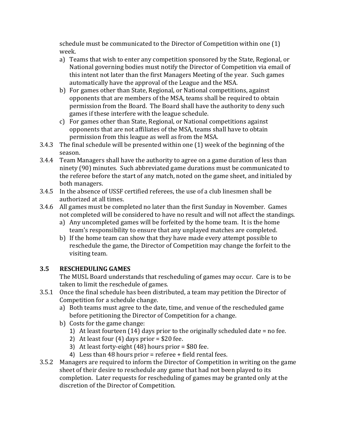schedule must be communicated to the Director of Competition within one (1) week.

- a) Teams that wish to enter any competition sponsored by the State, Regional, or National governing bodies must notify the Director of Competition via email of this intent not later than the first Managers Meeting of the year. Such games automatically have the approval of the League and the MSA.
- b) For games other than State, Regional, or National competitions, against opponents that are members of the MSA, teams shall be required to obtain permission from the Board. The Board shall have the authority to deny such games if these interfere with the league schedule.
- c) For games other than State, Regional, or National competitions against opponents that are not affiliates of the MSA, teams shall have to obtain permission from this league as well as from the MSA.
- 3.4.3 The final schedule will be presented within one (1) week of the beginning of the season.
- 3.4.4 Team Managers shall have the authority to agree on a game duration of less than ninety (90) minutes. Such abbreviated game durations must be communicated to the referee before the start of any match, noted on the game sheet, and initialed by both managers.
- 3.4.5 In the absence of USSF certified referees, the use of a club linesmen shall be authorized at all times.
- 3.4.6 All games must be completed no later than the first Sunday in November. Games not completed will be considered to have no result and will not affect the standings.
	- a) Any uncompleted games will be forfeited by the home team. It is the home team's responsibility to ensure that any unplayed matches are completed.
	- b) If the home team can show that they have made every attempt possible to reschedule the game, the Director of Competition may change the forfeit to the visiting team.

#### **3.5 RESCHEDULING GAMES**

The MUSL Board understands that rescheduling of games may occur. Care is to be taken to limit the reschedule of games.

- 3.5.1 Once the final schedule has been distributed, a team may petition the Director of Competition for a schedule change.
	- a) Both teams must agree to the date, time, and venue of the rescheduled game before petitioning the Director of Competition for a change.
	- b) Costs for the game change:
		- 1) At least fourteen (14) days prior to the originally scheduled date = no fee.
		- 2) At least four  $(4)$  days prior = \$20 fee.
		- 3) At least forty-eight (48) hours prior = \$80 fee.
		- 4) Less than 48 hours prior = referee + field rental fees.
- 3.5.2 Managers are required to inform the Director of Competition in writing on the game sheet of their desire to reschedule any game that had not been played to its completion. Later requests for rescheduling of games may be granted only at the discretion of the Director of Competition.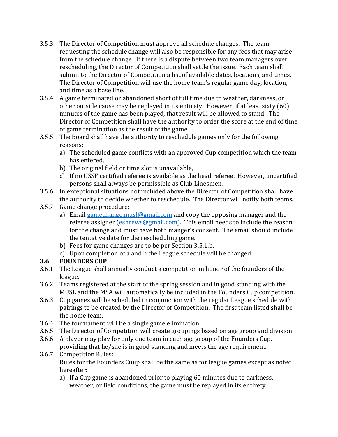- 3.5.3 The Director of Competition must approve all schedule changes. The team requesting the schedule change will also be responsible for any fees that may arise from the schedule change. If there is a dispute between two team managers over rescheduling, the Director of Competition shall settle the issue. Each team shall submit to the Director of Competition a list of available dates, locations, and times. The Director of Competition will use the home team's regular game day, location, and time as a base line.
- 3.5.4 A game terminated or abandoned short of full time due to weather, darkness, or other outside cause may be replayed in its entirety. However, if at least sixty (60) minutes of the game has been played, that result will be allowed to stand. The Director of Competition shall have the authority to order the score at the end of time of game termination as the result of the game.
- 3.5.5 The Board shall have the authority to reschedule games only for the following reasons:
	- a) The scheduled game conflicts with an approved Cup competition which the team has entered,
	- b) The original field or time slot is unavailable,
	- c) If no USSF certified referee is available as the head referee. However, uncertified persons shall always be permissible as Club Linesmen.
- 3.5.6 In exceptional situations not included above the Director of Competition shall have the authority to decide whether to reschedule. The Director will notify both teams.
- 3.5.7 Game change procedure:
	- a) Email gamechange musl@gmail.com and copy the opposing manager and the referee assigner [\(eshrews@gmail.com\)](mailto:eshrews@gmail.com). This email needs to include the reason for the change and must have both manger's consent. The email should include the tentative date for the rescheduling game.
	- b) Fees for game changes are to be per Section 3.5.1.b.
	- c) Upon completion of a and b the League schedule will be changed.

#### **3.6 FOUNDERS CUP**

- 3.6.1 The League shall annually conduct a competition in honor of the founders of the league.
- 3.6.2 Teams registered at the start of the spring session and in good standing with the MUSL and the MSA will automatically be included in the Founders Cup competition.
- 3.6.3 Cup games will be scheduled in conjunction with the regular League schedule with pairings to be created by the Director of Competition. The first team listed shall be the home team.
- 3.6.4 The tournament will be a single game elimination.
- 3.6.5 The Director of Competition will create groupings based on age group and division.
- 3.6.6 A player may play for only one team in each age group of the Founders Cup, providing that he/she is in good standing and meets the age requirement.
- 3.6.7 Competition Rules: Rules for the Founders Cuup shall be the same as for league games except as noted hereafter:
	- a) If a Cup game is abandoned prior to playing 60 minutes due to darkness, weather, or field conditions, the game must be replayed in its entirety.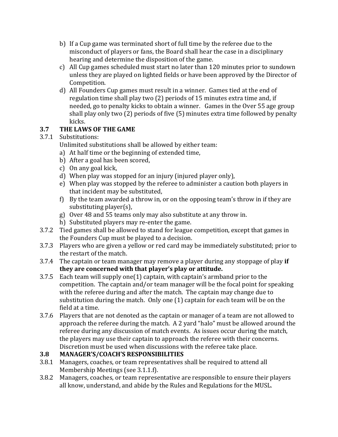- b) If a Cup game was terminated short of full time by the referee due to the misconduct of players or fans, the Board shall hear the case in a disciplinary hearing and determine the disposition of the game.
- c) All Cup games scheduled must start no later than 120 minutes prior to sundown unless they are played on lighted fields or have been approved by the Director of Competition.
- d) All Founders Cup games must result in a winner. Games tied at the end of regulation time shall play two (2) periods of 15 minutes extra time and, if needed, go to penalty kicks to obtain a winner. Games in the Over 55 age group shall play only two (2) periods of five (5) minutes extra time followed by penalty kicks.

#### **3.7 THE LAWS OF THE GAME**

#### 3.7.1 Substitutions:

Unlimited substitutions shall be allowed by either team:

- a) At half time or the beginning of extended time,
- b) After a goal has been scored,
- c) On any goal kick,
- d) When play was stopped for an injury (injured player only),
- e) When play was stopped by the referee to administer a caution both players in that incident may be substituted,
- f) By the team awarded a throw in, or on the opposing team's throw in if they are substituting player(s),
- g) Over 48 and 55 teams only may also substitute at any throw in.
- h) Substituted players may re-enter the game.
- 3.7.2 Tied games shall be allowed to stand for league competition, except that games in the Founders Cup must be played to a decision.
- 3.7.3 Players who are given a yellow or red card may be immediately substituted; prior to the restart of the match.
- 3.7.4 The captain or team manager may remove a player during any stoppage of play **if they are concerned with that player's play or attitude.**
- 3.7.5 Each team will supply one(1) captain, with captain's armband prior to the competition. The captain and/or team manager will be the focal point for speaking with the referee during and after the match. The captain may change due to substitution during the match. Only one (1) captain for each team will be on the field at a time.
- 3.7.6 Players that are not denoted as the captain or manager of a team are not allowed to approach the referee during the match. A 2 yard "halo" must be allowed around the referee during any discussion of match events. As issues occur during the match, the players may use their captain to approach the referee with their concerns. Discretion must be used when discussions with the referee take place.

#### **3.8 MANAGER'S/COACH'S RESPONSIBILITIES**

- 3.8.1 Managers, coaches, or team representatives shall be required to attend all Membership Meetings (see 3.1.1.f).
- 3.8.2 Managers, coaches, or team representative are responsible to ensure their players all know, understand, and abide by the Rules and Regulations for the MUSL.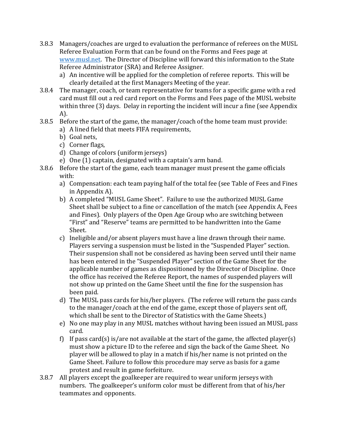- 3.8.3 Managers/coaches are urged to evaluation the performance of referees on the MUSL Referee Evaluation Form that can be found on the Forms and Fees page at [www.musl.net.](http://www.musl.net/) The Director of Discipline will forward this information to the State Referee Administrator (SRA) and Referee Assigner.
	- a) An incentive will be applied for the completion of referee reports. This will be clearly detailed at the first Managers Meeting of the year.
- 3.8.4 The manager, coach, or team representative for teams for a specific game with a red card must fill out a red card report on the Forms and Fees page of the MUSL website within three (3) days. Delay in reporting the incident will incur a fine (see Appendix A).
- 3.8.5 Before the start of the game, the manager/coach of the home team must provide:
	- a) A lined field that meets FIFA requirements,
	- b) Goal nets,
	- c) Corner flags,
	- d) Change of colors (uniform jerseys)
	- e) One (1) captain, designated with a captain's arm band.
- 3.8.6 Before the start of the game, each team manager must present the game officials with:
	- a) Compensation: each team paying half of the total fee (see Table of Fees and Fines in Appendix A).
	- b) A completed "MUSL Game Sheet". Failure to use the authorized MUSL Game Sheet shall be subject to a fine or cancellation of the match (see Appendix A, Fees and Fines). Only players of the Open Age Group who are switching between "First" and "Reserve" teams are permitted to be handwritten into the Game Sheet.
	- c) Ineligible and/or absent players must have a line drawn through their name. Players serving a suspension must be listed in the "Suspended Player" section. Their suspension shall not be considered as having been served until their name has been entered in the "Suspended Player" section of the Game Sheet for the applicable number of games as dispositioned by the Director of Discipline. Once the office has received the Referee Report, the names of suspended players will not show up printed on the Game Sheet until the fine for the suspension has been paid.
	- d) The MUSL pass cards for his/her players. (The referee will return the pass cards to the manager/coach at the end of the game, except those of players sent off, which shall be sent to the Director of Statistics with the Game Sheets.)
	- e) No one may play in any MUSL matches without having been issued an MUSL pass card.
	- f) If pass card(s) is/are not available at the start of the game, the affected player(s) must show a picture ID to the referee and sign the back of the Game Sheet. No player will be allowed to play in a match if his/her name is not printed on the Game Sheet. Failure to follow this procedure may serve as basis for a game protest and result in game forfeiture.
- 3.8.7 All players except the goalkeeper are required to wear uniform jerseys with numbers. The goalkeeper's uniform color must be different from that of his/her teammates and opponents.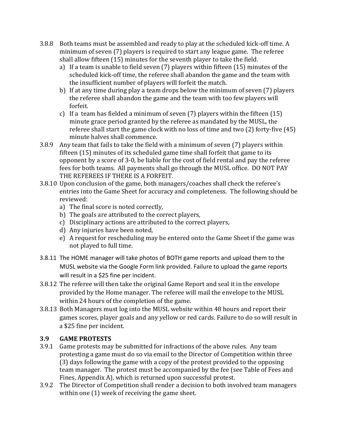- 3.8.8 Both teams must be assembled and ready to play at the scheduled kick-off time. A minimum of seven (7) players is required to start any league game. The referee shall allow fifteen (15) minutes for the seventh player to take the field.
	- a) If a team is unable to field seven (7) players within fifteen (15) minutes of the scheduled kick-off time, the referee shall abandon the game and the team with the insufficient number of players will forfeit the match.
	- b) If at any time during play a team drops below the minimum of seven (7) players the referee shall abandon the game and the team with too few players will forfeit.
	- c) If a team has fielded a minimum of seven (7) players within the fifteen (15) minute grace period granted by the referee as mandated by the MUSL, the referee shall start the game clock with no loss of time and two (2) forty-five (45) minute halves shall commence.
- 3.8.9 Any team that fails to take the field with a minimum of seven (7) players within fifteen (15) minutes of its scheduled game time shall forfeit that game to its opponent by a score of 3-0, be liable for the cost of field rental and pay the referee fees for both teams. All payments shall go through the MUSL office. DO NOT PAY THE REFEREES IF THERE IS A FORFEIT.
- 3.8.10 Upon conclusion of the game, both managers/coaches shall check the referee's entries into the Game Sheet for accuracy and completeness. The following should be reviewed:
	- a) The final score is noted correctly,
	- b) The goals are attributed to the correct players,
	- c) Disciplinary actions are attributed to the correct players,
	- d) Any injuries have been noted,
	- e) A request for rescheduling may be entered onto the Game Sheet if the game was not played to full time.
- 3.8.11 The HOME manager will take photos of BOTH game reports and upload them to the MUSL website via the Google Form link provided. Failure to upload the game reports will result in a \$25 fine per incident.
- 3.8.12 The referee will then take the original Game Report and seal it in the envelope provided by the Home manager. The referee will mail the envelope to the MUSL within 24 hours of the completion of the game.
- 3.8.13 Both Managers must log into the MUSL website within 48 hours and report their games scores, player goals and any yellow or red cards. Failure to do so will result in a \$25 fine per incident.

#### **3.9 GAME PROTESTS**

- 3.9.1 Game protests may be submitted for infractions of the above rules. Any team protesting a game must do so via email to the Director of Competition within three (3) days following the game with a copy of the protest provided to the opposing team manager. The protest must be accompanied by the fee (see Table of Fees and Fines, Appendix A), which is returned upon successful protest.
- 3.9.2 The Director of Competition shall render a decision to both involved team managers within one (1) week of receiving the game sheet.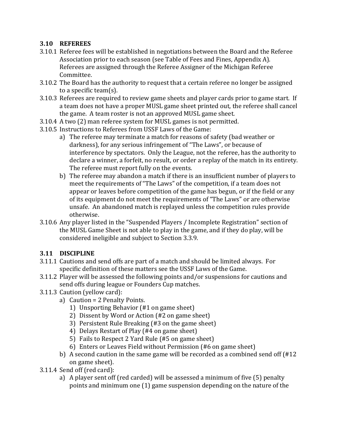#### **3.10 REFEREES**

- 3.10.1 Referee fees will be established in negotiations between the Board and the Referee Association prior to each season (see Table of Fees and Fines, Appendix A). Referees are assigned through the Referee Assigner of the Michigan Referee Committee.
- 3.10.2 The Board has the authority to request that a certain referee no longer be assigned to a specific team(s).
- 3.10.3 Referees are required to review game sheets and player cards prior to game start. If a team does not have a proper MUSL game sheet printed out, the referee shall cancel the game. A team roster is not an approved MUSL game sheet.
- 3.10.4 A two (2) man referee system for MUSL games is not permitted.
- 3.10.5 Instructions to Referees from USSF Laws of the Game:
	- a) The referee may terminate a match for reasons of safety (bad weather or darkness), for any serious infringement of "The Laws", or because of interference by spectators. Only the League, not the referee, has the authority to declare a winner, a forfeit, no result, or order a replay of the match in its entirety. The referee must report fully on the events.
	- b) The referee may abandon a match if there is an insufficient number of players to meet the requirements of "The Laws" of the competition, if a team does not appear or leaves before competition of the game has begun, or if the field or any of its equipment do not meet the requirements of "The Laws" or are otherwise unsafe. An abandoned match is replayed unless the competition rules provide otherwise.
- 3.10.6 Any player listed in the "Suspended Players / Incomplete Registration" section of the MUSL Game Sheet is not able to play in the game, and if they do play, will be considered ineligible and subject to Section 3.3.9.

#### **3.11 DISCIPLINE**

- 3.11.1 Cautions and send offs are part of a match and should be limited always. For specific definition of these matters see the USSF Laws of the Game.
- 3.11.2 Player will be assessed the following points and/or suspensions for cautions and send offs during league or Founders Cup matches.
- 3.11.3 Caution (yellow card):
	- a) Caution = 2 Penalty Points.
		- 1) Unsporting Behavior (#1 on game sheet)
		- 2) Dissent by Word or Action (#2 on game sheet)
		- 3) Persistent Rule Breaking (#3 on the game sheet)
		- 4) Delays Restart of Play (#4 on game sheet)
		- 5) Fails to Respect 2 Yard Rule (#5 on game sheet)
		- 6) Enters or Leaves Field without Permission (#6 on game sheet)
	- b) A second caution in the same game will be recorded as a combined send off (#12 on game sheet).
- 3.11.4 Send off (red card):
	- a) A player sent off (red carded) will be assessed a minimum of five (5) penalty points and minimum one (1) game suspension depending on the nature of the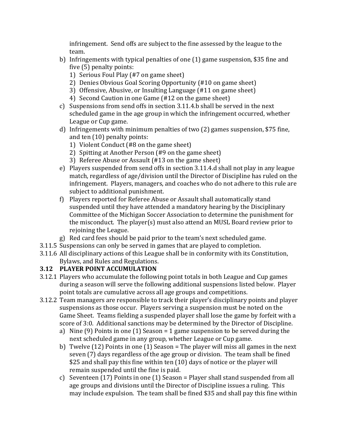infringement. Send offs are subject to the fine assessed by the league to the team.

- b) Infringements with typical penalties of one (1) game suspension, \$35 fine and five (5) penalty points:
	- 1) Serious Foul Play (#7 on game sheet)
	- 2) Denies Obvious Goal Scoring Opportunity (#10 on game sheet)
	- 3) Offensive, Abusive, or Insulting Language (#11 on game sheet)
	- 4) Second Caution in one Game (#12 on the game sheet)
- c) Suspensions from send offs in section 3.11.4.b shall be served in the next scheduled game in the age group in which the infringement occurred, whether League or Cup game.
- d) Infringements with minimum penalties of two (2) games suspension, \$75 fine, and ten (10) penalty points:
	- 1) Violent Conduct (#8 on the game sheet)
	- 2) Spitting at Another Person (#9 on the game sheet)
	- 3) Referee Abuse or Assault (#13 on the game sheet)
- e) Players suspended from send offs in section 3.11.4.d shall not play in any league match, regardless of age/division until the Director of Discipline has ruled on the infringement. Players, managers, and coaches who do not adhere to this rule are subject to additional punishment.
- f) Players reported for Referee Abuse or Assault shall automatically stand suspended until they have attended a mandatory hearing by the Disciplinary Committee of the Michigan Soccer Association to determine the punishment for the misconduct. The player(s) must also attend an MUSL Board review prior to rejoining the League.
- g) Red card fees should be paid prior to the team's next scheduled game.
- 3.11.5 Suspensions can only be served in games that are played to completion.
- 3.11.6 All disciplinary actions of this League shall be in conformity with its Constitution, Bylaws, and Rules and Regulations.

### **3.12 PLAYER POINT ACCUMULATION**

- 3.12.1 Players who accumulate the following point totals in both League and Cup games during a season will serve the following additional suspensions listed below. Player point totals are cumulative across all age groups and competitions.
- 3.12.2 Team managers are responsible to track their player's disciplinary points and player suspensions as those occur. Players serving a suspension must be noted on the Game Sheet. Teams fielding a suspended player shall lose the game by forfeit with a score of 3:0. Additional sanctions may be determined by the Director of Discipline.
	- a) Nine (9) Points in one (1) Season = 1 game suspension to be served during the next scheduled game in any group, whether League or Cup game.
	- b) Twelve (12) Points in one (1) Season = The player will miss all games in the next seven (7) days regardless of the age group or division. The team shall be fined \$25 and shall pay this fine within ten (10) days of notice or the player will remain suspended until the fine is paid.
	- c) Seventeen (17) Points in one (1) Season = Player shall stand suspended from all age groups and divisions until the Director of Discipline issues a ruling. This may include expulsion. The team shall be fined \$35 and shall pay this fine within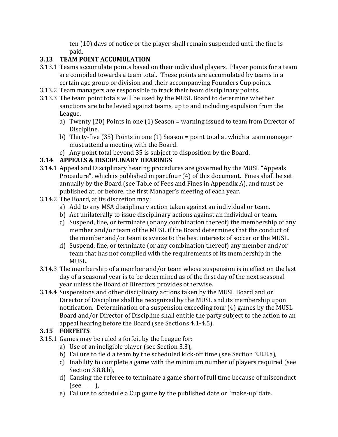ten (10) days of notice or the player shall remain suspended until the fine is paid.

### **3.13 TEAM POINT ACCUMULATION**

- 3.13.1 Teams accumulate points based on their individual players. Player points for a team are compiled towards a team total. These points are accumulated by teams in a certain age group or division and their accompanying Founders Cup points.
- 3.13.2 Team managers are responsible to track their team disciplinary points.
- 3.13.3 The team point totals will be used by the MUSL Board to determine whether sanctions are to be levied against teams, up to and including expulsion from the League.
	- a) Twenty (20) Points in one (1) Season = warning issued to team from Director of Discipline.
	- b) Thirty-five (35) Points in one (1) Season = point total at which a team manager must attend a meeting with the Board.
	- c) Any point total beyond 35 is subject to disposition by the Board.

#### **3.14 APPEALS & DISCIPLINARY HEARINGS**

- 3.14.1 Appeal and Disciplinary hearing procedures are governed by the MUSL "Appeals Procedure", which is published in part four (4) of this document. Fines shall be set annually by the Board (see Table of Fees and Fines in Appendix A), and must be published at, or before, the first Manager's meeting of each year.
- 3.14.2 The Board, at its discretion may:
	- a) Add to any MSA disciplinary action taken against an individual or team.
	- b) Act unilaterally to issue disciplinary actions against an individual or team.
	- c) Suspend, fine, or terminate (or any combination thereof) the membership of any member and/or team of the MUSL if the Board determines that the conduct of the member and/or team is averse to the best interests of soccer or the MUSL.
	- d) Suspend, fine, or terminate (or any combination thereof) any member and/or team that has not complied with the requirements of its membership in the MUSL.
- 3.14.3 The membership of a member and/or team whose suspension is in effect on the last day of a seasonal year is to be determined as of the first day of the next seasonal year unless the Board of Directors provides otherwise.
- 3.14.4 Suspensions and other disciplinary actions taken by the MUSL Board and or Director of Discipline shall be recognized by the MUSL and its membership upon notification. Determination of a suspension exceeding four (4) games by the MUSL Board and/or Director of Discipline shall entitle the party subject to the action to an appeal hearing before the Board (see Sections 4.1-4.5).

#### **3.15 FORFEITS**

- 3.15.1 Games may be ruled a forfeit by the League for:
	- a) Use of an ineligible player (see Section 3.3),
	- b) Failure to field a team by the scheduled kick-off time (see Section 3.8.8.a),
	- c) Inability to complete a game with the minimum number of players required (see Section 3.8.8.b),
	- d) Causing the referee to terminate a game short of full time because of misconduct  $(see \_\_),$
	- e) Failure to schedule a Cup game by the published date or "make-up"date.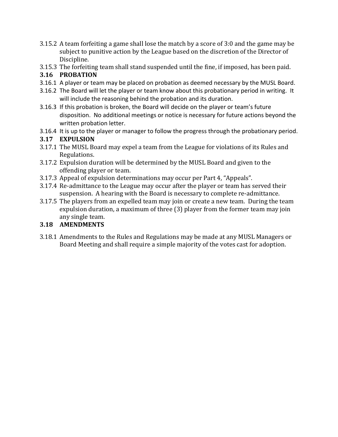- 3.15.2 A team forfeiting a game shall lose the match by a score of 3:0 and the game may be subject to punitive action by the League based on the discretion of the Director of Discipline.
- 3.15.3 The forfeiting team shall stand suspended until the fine, if imposed, has been paid.

#### **3.16 PROBATION**

- 3.16.1 A player or team may be placed on probation as deemed necessary by the MUSL Board.
- 3.16.2 The Board will let the player or team know about this probationary period in writing. It will include the reasoning behind the probation and its duration.
- 3.16.3 If this probation is broken, the Board will decide on the player or team's future disposition. No additional meetings or notice is necessary for future actions beyond the written probation letter.
- 3.16.4 It is up to the player or manager to follow the progress through the probationary period.

#### **3.17 EXPULSION**

- 3.17.1 The MUSL Board may expel a team from the League for violations of its Rules and Regulations.
- 3.17.2 Expulsion duration will be determined by the MUSL Board and given to the offending player or team.
- 3.17.3 Appeal of expulsion determinations may occur per Part 4, "Appeals".
- 3.17.4 Re-admittance to the League may occur after the player or team has served their suspension. A hearing with the Board is necessary to complete re-admittance.
- 3.17.5 The players from an expelled team may join or create a new team. During the team expulsion duration, a maximum of three (3) player from the former team may join any single team.

### **3.18 AMENDMENTS**

3.18.1 Amendments to the Rules and Regulations may be made at any MUSL Managers or Board Meeting and shall require a simple majority of the votes cast for adoption.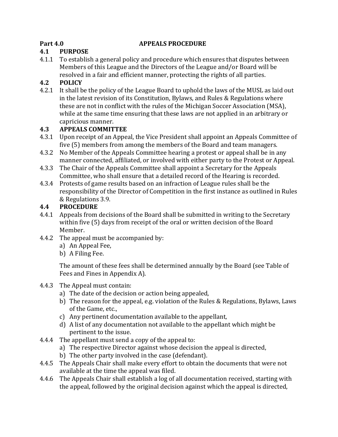#### <span id="page-21-0"></span>**Part 4.0 APPEALS PROCEDURE**

#### **4.1 PURPOSE**

4.1.1 To establish a general policy and procedure which ensures that disputes between Members of this League and the Directors of the League and/or Board will be resolved in a fair and efficient manner, protecting the rights of all parties.

#### **4.2 POLICY**

4.2.1 It shall be the policy of the League Board to uphold the laws of the MUSL as laid out in the latest revision of its Constitution, Bylaws, and Rules & Regulations where these are not in conflict with the rules of the Michigan Soccer Association (MSA), while at the same time ensuring that these laws are not applied in an arbitrary or capricious manner.

#### **4.3 APPEALS COMMITTEE**

- 4.3.1 Upon receipt of an Appeal, the Vice President shall appoint an Appeals Committee of five (5) members from among the members of the Board and team managers.
- 4.3.2 No Member of the Appeals Committee hearing a protest or appeal shall be in any manner connected, affiliated, or involved with either party to the Protest or Appeal.
- 4.3.3 The Chair of the Appeals Committee shall appoint a Secretary for the Appeals Committee, who shall ensure that a detailed record of the Hearing is recorded.
- 4.3.4 Protests of game results based on an infraction of League rules shall be the responsibility of the Director of Competition in the first instance as outlined in Rules & Regulations 3.9.

#### **4.4 PROCEDURE**

- 4.4.1 Appeals from decisions of the Board shall be submitted in writing to the Secretary within five (5) days from receipt of the oral or written decision of the Board Member.
- 4.4.2 The appeal must be accompanied by:
	- a) An Appeal Fee,
	- b) A Filing Fee.

The amount of these fees shall be determined annually by the Board (see Table of Fees and Fines in Appendix A).

#### 4.4.3 The Appeal must contain:

- a) The date of the decision or action being appealed,
- b) The reason for the appeal, e.g. violation of the Rules & Regulations, Bylaws, Laws of the Game, etc.,
- c) Any pertinent documentation available to the appellant,
- d) A list of any documentation not available to the appellant which might be pertinent to the issue.
- 4.4.4 The appellant must send a copy of the appeal to:
	- a) The respective Director against whose decision the appeal is directed,
	- b) The other party involved in the case (defendant).
- 4.4.5 The Appeals Chair shall make every effort to obtain the documents that were not available at the time the appeal was filed.
- 4.4.6 The Appeals Chair shall establish a log of all documentation received, starting with the appeal, followed by the original decision against which the appeal is directed,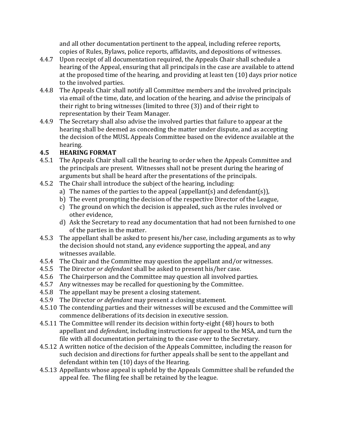and all other documentation pertinent to the appeal, including referee reports, copies of Rules, Bylaws, police reports, affidavits, and depositions of witnesses.

- 4.4.7 Upon receipt of all documentation required, the Appeals Chair shall schedule a hearing of the Appeal, ensuring that all principals in the case are available to attend at the proposed time of the hearing, and providing at least ten (10) days prior notice to the involved parties.
- 4.4.8 The Appeals Chair shall notify all Committee members and the involved principals via email of the time, date, and location of the hearing, and advise the principals of their right to bring witnesses (limited to three (3)) and of their right to representation by their Team Manager.
- 4.4.9 The Secretary shall also advise the involved parties that failure to appear at the hearing shall be deemed as conceding the matter under dispute, and as accepting the decision of the MUSL Appeals Committee based on the evidence available at the hearing.

#### **4.5 HEARING FORMAT**

- 4.5.1 The Appeals Chair shall call the hearing to order when the Appeals Committee and the principals are present. Witnesses shall not be present during the hearing of arguments but shall be heard after the presentations of the principals.
- 4.5.2 The Chair shall introduce the subject of the hearing, including:
	- a) The names of the parties to the appeal (appellant(s) and defendant(s)),
	- b) The event prompting the decision of the respective Director of the League,
	- c) The ground on which the decision is appealed, such as the rules involved or other evidence,
	- d) Ask the Secretary to read any documentation that had not been furnished to one of the parties in the matter.
- 4.5.3 The appellant shall be asked to present his/her case, including arguments as to why the decision should not stand, any evidence supporting the appeal, and any witnesses available.
- 4.5.4 The Chair and the Committee may question the appellant and/or witnesses.
- 4.5.5 The Director *or defendant* shall be asked to present his/her case.
- 4.5.6 The Chairperson and the Committee may question all involved parties.
- 4.5.7 Any witnesses may be recalled for questioning by the Committee.
- 4.5.8 The appellant may be present a closing statement.
- 4.5.9 The Director *or defendant* may present a closing statement.
- 4.5.10 The contending parties and their witnesses will be excused and the Committee will commence deliberations of its decision in executive session.
- 4.5.11 The Committee will render its decision within forty-eight (48) hours to both appellant and *defendant*, including instructions for appeal to the MSA, and turn the file with all documentation pertaining to the case over to the Secretary.
- 4.5.12 A written notice of the decision of the Appeals Committee, including the reason for such decision and directions for further appeals shall be sent to the appellant and defendant within ten (10) days of the Hearing.
- 4.5.13 Appellants whose appeal is upheld by the Appeals Committee shall be refunded the appeal fee. The filing fee shall be retained by the league.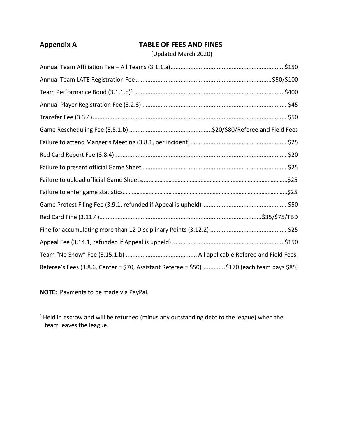#### <span id="page-23-0"></span>**Appendix A TABLE OF FEES AND FINES**

#### (Updated March 2020)

| Referee's Fees (3.8.6, Center = \$70, Assistant Referee = \$50)\$170 (each team pays \$85) |  |
|--------------------------------------------------------------------------------------------|--|

**NOTE:** Payments to be made via PayPal.

 $1$  Held in escrow and will be returned (minus any outstanding debt to the league) when the team leaves the league.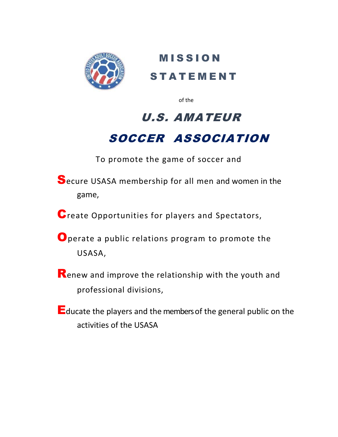

**MISSION STATEMENT** 

of the contract of the contract of the contract of the contract of the contract of the contract of the contract of the contract of the contract of the contract of the contract of the contract of the contract of the contrac

# U.S. AMATEUR SOCCER ASSOCIATION

To promote the game of soccer and

- Secure USASA membership for all men and women in the game,
- Create Opportunities for players and Spectators,
- Operate a public relations program to promote the USASA,
- Renew and improve the relationship with the youth and professional divisions,
- Educate the players and the members of the general public on the activities of the USASA